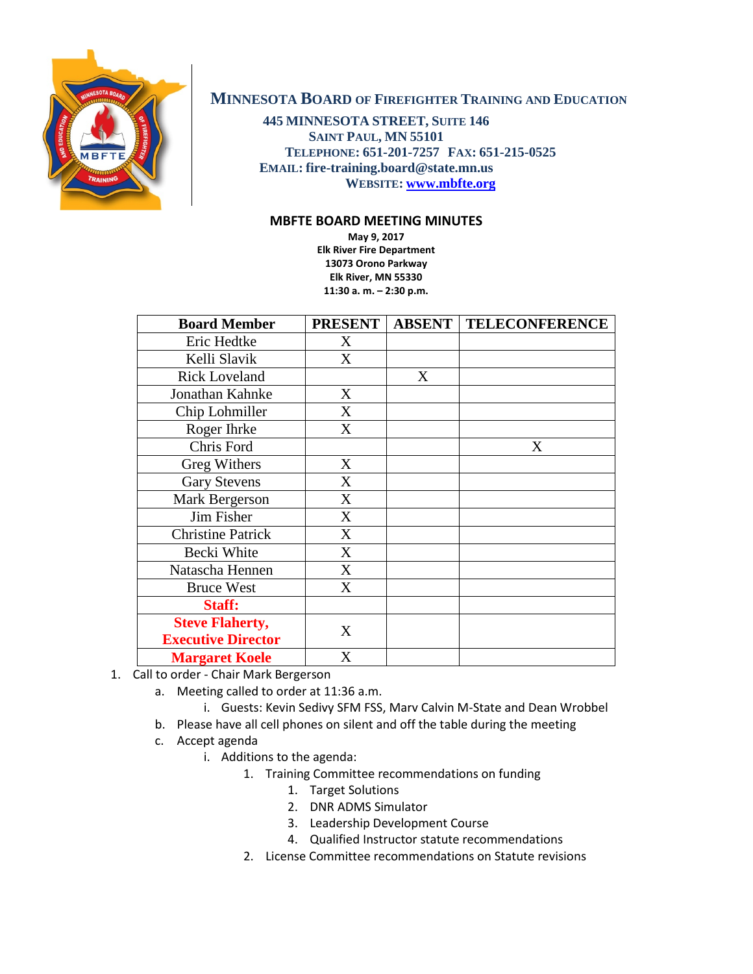

## **MINNESOTA BOARD OF FIREFIGHTER TRAINING AND EDUCATION**

**445 MINNESOTA STREET, SUITE 146 SAINT PAUL, MN 55101 TELEPHONE: 651-201-7257 FAX: 651-215-0525 EMAIL: fire-training.board@state.mn.us WEBSITE: [www.mbfte.org](http://www.mbfte.org/)**

## **MBFTE BOARD MEETING MINUTES**

**May 9, 2017 Elk River Fire Department 13073 Orono Parkway Elk River, MN 55330 11:30 a. m. – 2:30 p.m.**

| <b>Board Member</b>       | <b>PRESENT</b> | <b>ABSENT</b> | <b>TELECONFERENCE</b> |
|---------------------------|----------------|---------------|-----------------------|
| Eric Hedtke               | X              |               |                       |
| Kelli Slavik              | X              |               |                       |
| <b>Rick Loveland</b>      |                | X             |                       |
| Jonathan Kahnke           | X              |               |                       |
| Chip Lohmiller            | X              |               |                       |
| Roger Ihrke               | X              |               |                       |
| Chris Ford                |                |               | X                     |
| <b>Greg Withers</b>       | X              |               |                       |
| <b>Gary Stevens</b>       | X              |               |                       |
| Mark Bergerson            | X              |               |                       |
| Jim Fisher                | X              |               |                       |
| <b>Christine Patrick</b>  | X              |               |                       |
| Becki White               | X              |               |                       |
| Natascha Hennen           | X              |               |                       |
| <b>Bruce West</b>         | X              |               |                       |
| Staff:                    |                |               |                       |
| <b>Steve Flaherty,</b>    | X              |               |                       |
| <b>Executive Director</b> |                |               |                       |
| <b>Margaret Koele</b>     | X              |               |                       |

- 1. Call to order Chair Mark Bergerson
	- a. Meeting called to order at 11:36 a.m.
		- i. Guests: Kevin Sedivy SFM FSS, Marv Calvin M-State and Dean Wrobbel
	- b. Please have all cell phones on silent and off the table during the meeting
	- c. Accept agenda
		- i. Additions to the agenda:
			- 1. Training Committee recommendations on funding
				- 1. Target Solutions
				- 2. DNR ADMS Simulator
				- 3. Leadership Development Course
				- 4. Qualified Instructor statute recommendations
			- 2. License Committee recommendations on Statute revisions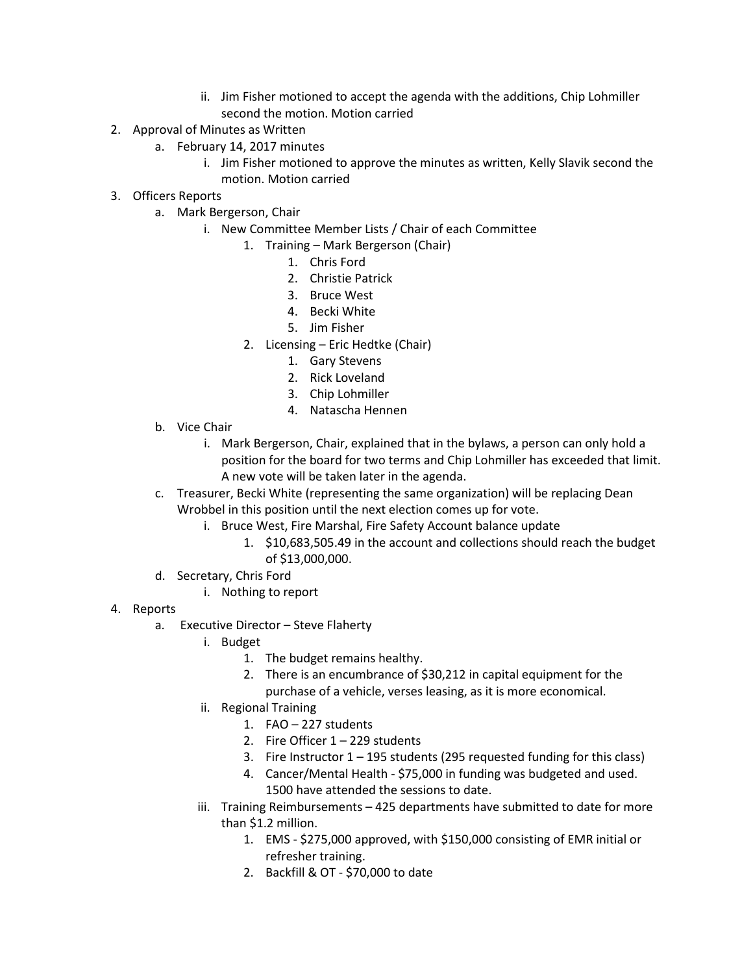- ii. Jim Fisher motioned to accept the agenda with the additions, Chip Lohmiller second the motion. Motion carried
- 2. Approval of Minutes as Written
	- a. February 14, 2017 minutes
		- i. Jim Fisher motioned to approve the minutes as written, Kelly Slavik second the motion. Motion carried
- 3. Officers Reports
	- a. Mark Bergerson, Chair
		- i. New Committee Member Lists / Chair of each Committee
			- 1. Training Mark Bergerson (Chair)
				- 1. Chris Ford
				- 2. Christie Patrick
				- 3. Bruce West
				- 4. Becki White
				- 5. Jim Fisher
			- 2. Licensing Eric Hedtke (Chair)
				- 1. Gary Stevens
				- 2. Rick Loveland
				- 3. Chip Lohmiller
				- 4. Natascha Hennen
	- b. Vice Chair
		- i. Mark Bergerson, Chair, explained that in the bylaws, a person can only hold a position for the board for two terms and Chip Lohmiller has exceeded that limit. A new vote will be taken later in the agenda.
	- c. Treasurer, Becki White (representing the same organization) will be replacing Dean Wrobbel in this position until the next election comes up for vote.
		- i. Bruce West, Fire Marshal, Fire Safety Account balance update
			- 1. \$10,683,505.49 in the account and collections should reach the budget of \$13,000,000.
	- d. Secretary, Chris Ford
		- i. Nothing to report
- 4. Reports
	- a. Executive Director Steve Flaherty
		- i. Budget
			- 1. The budget remains healthy.
			- 2. There is an encumbrance of \$30,212 in capital equipment for the purchase of a vehicle, verses leasing, as it is more economical.
			- ii. Regional Training
				- 1. FAO 227 students
				- 2. Fire Officer  $1 229$  students
				- 3. Fire Instructor 1 195 students (295 requested funding for this class)
				- 4. Cancer/Mental Health \$75,000 in funding was budgeted and used. 1500 have attended the sessions to date.
			- iii. Training Reimbursements 425 departments have submitted to date for more than \$1.2 million.
				- 1. EMS \$275,000 approved, with \$150,000 consisting of EMR initial or refresher training.
				- 2. Backfill & OT \$70,000 to date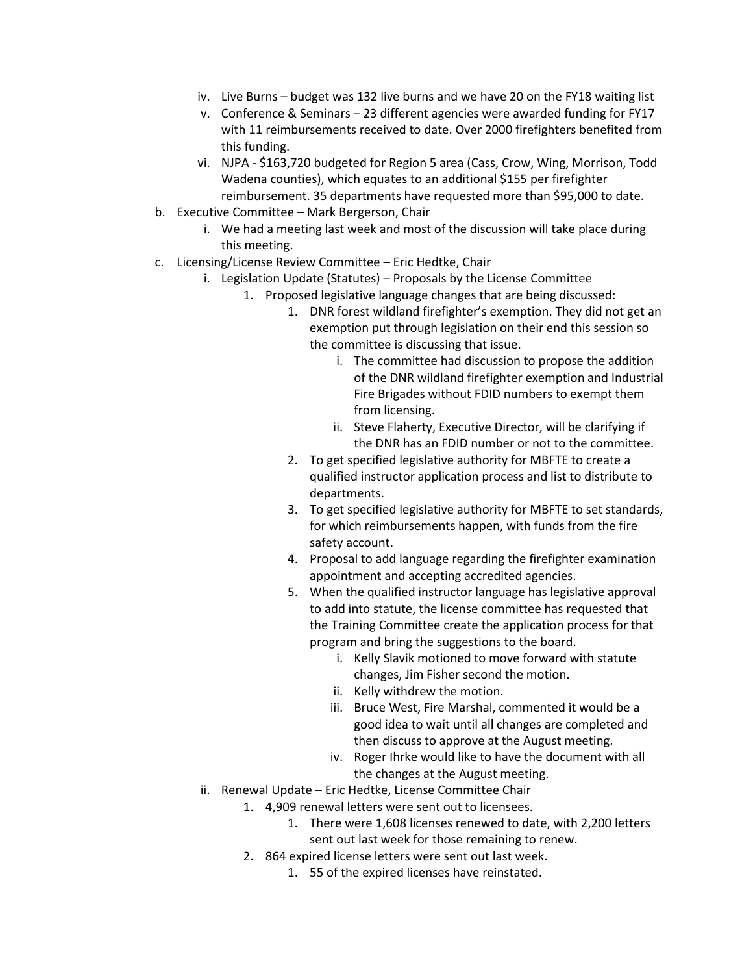- iv. Live Burns budget was 132 live burns and we have 20 on the FY18 waiting list
- v. Conference & Seminars 23 different agencies were awarded funding for FY17 with 11 reimbursements received to date. Over 2000 firefighters benefited from this funding.
- vi. NJPA \$163,720 budgeted for Region 5 area (Cass, Crow, Wing, Morrison, Todd Wadena counties), which equates to an additional \$155 per firefighter reimbursement. 35 departments have requested more than \$95,000 to date.
- b. Executive Committee Mark Bergerson, Chair
	- i. We had a meeting last week and most of the discussion will take place during this meeting.
- c. Licensing/License Review Committee Eric Hedtke, Chair
	- i. Legislation Update (Statutes) Proposals by the License Committee
		- 1. Proposed legislative language changes that are being discussed:
			- 1. DNR forest wildland firefighter's exemption. They did not get an exemption put through legislation on their end this session so the committee is discussing that issue.
				- i. The committee had discussion to propose the addition of the DNR wildland firefighter exemption and Industrial Fire Brigades without FDID numbers to exempt them from licensing.
				- ii. Steve Flaherty, Executive Director, will be clarifying if the DNR has an FDID number or not to the committee.
			- 2. To get specified legislative authority for MBFTE to create a qualified instructor application process and list to distribute to departments.
			- 3. To get specified legislative authority for MBFTE to set standards, for which reimbursements happen, with funds from the fire safety account.
			- 4. Proposal to add language regarding the firefighter examination appointment and accepting accredited agencies.
			- 5. When the qualified instructor language has legislative approval to add into statute, the license committee has requested that the Training Committee create the application process for that program and bring the suggestions to the board.
				- i. Kelly Slavik motioned to move forward with statute changes, Jim Fisher second the motion.
				- ii. Kelly withdrew the motion.
				- iii. Bruce West, Fire Marshal, commented it would be a good idea to wait until all changes are completed and then discuss to approve at the August meeting.
				- iv. Roger Ihrke would like to have the document with all the changes at the August meeting.
	- ii. Renewal Update Eric Hedtke, License Committee Chair
		- 1. 4,909 renewal letters were sent out to licensees.
			- 1. There were 1,608 licenses renewed to date, with 2,200 letters sent out last week for those remaining to renew.
		- 2. 864 expired license letters were sent out last week.
			- 1. 55 of the expired licenses have reinstated.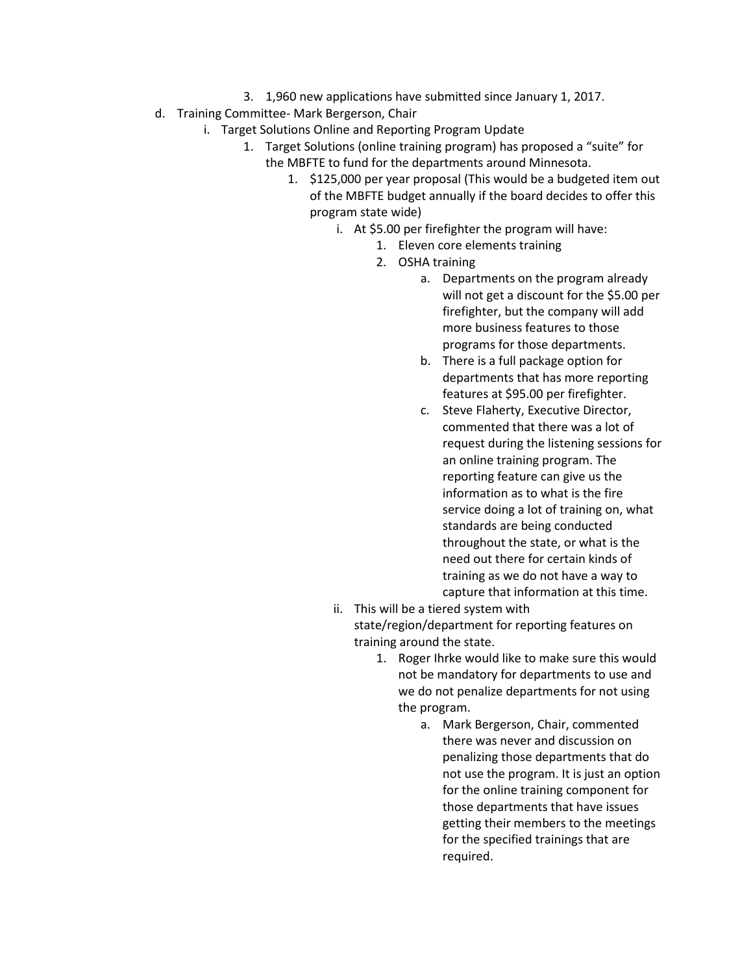- 3. 1,960 new applications have submitted since January 1, 2017.
- d. Training Committee- Mark Bergerson, Chair
	- i. Target Solutions Online and Reporting Program Update
		- 1. Target Solutions (online training program) has proposed a "suite" for the MBFTE to fund for the departments around Minnesota.
			- 1. \$125,000 per year proposal (This would be a budgeted item out of the MBFTE budget annually if the board decides to offer this program state wide)
				- i. At \$5.00 per firefighter the program will have:
					- 1. Eleven core elements training
					- 2. OSHA training
						- a. Departments on the program already will not get a discount for the \$5.00 per firefighter, but the company will add more business features to those programs for those departments.
						- b. There is a full package option for departments that has more reporting features at \$95.00 per firefighter.
						- c. Steve Flaherty, Executive Director, commented that there was a lot of request during the listening sessions for an online training program. The reporting feature can give us the information as to what is the fire service doing a lot of training on, what standards are being conducted throughout the state, or what is the need out there for certain kinds of training as we do not have a way to capture that information at this time.
				- ii. This will be a tiered system with state/region/department for reporting features on training around the state.
					- 1. Roger Ihrke would like to make sure this would not be mandatory for departments to use and we do not penalize departments for not using the program.
						- a. Mark Bergerson, Chair, commented there was never and discussion on penalizing those departments that do not use the program. It is just an option for the online training component for those departments that have issues getting their members to the meetings for the specified trainings that are required.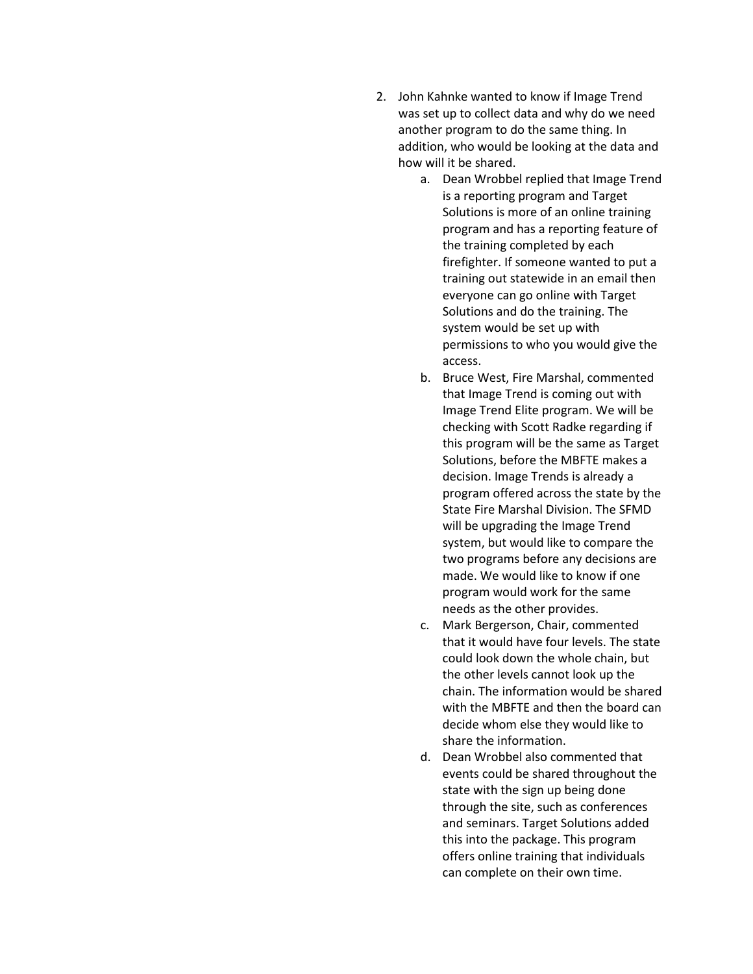- 2. John Kahnke wanted to know if Image Trend was set up to collect data and why do we need another program to do the same thing. In addition, who would be looking at the data and how will it be shared.
	- a. Dean Wrobbel replied that Image Trend is a reporting program and Target Solutions is more of an online training program and has a reporting feature of the training completed by each firefighter. If someone wanted to put a training out statewide in an email then everyone can go online with Target Solutions and do the training. The system would be set up with permissions to who you would give the access.
	- b. Bruce West, Fire Marshal, commented that Image Trend is coming out with Image Trend Elite program. We will be checking with Scott Radke regarding if this program will be the same as Target Solutions, before the MBFTE makes a decision. Image Trends is already a program offered across the state by the State Fire Marshal Division. The SFMD will be upgrading the Image Trend system, but would like to compare the two programs before any decisions are made. We would like to know if one program would work for the same needs as the other provides.
	- c. Mark Bergerson, Chair, commented that it would have four levels. The state could look down the whole chain, but the other levels cannot look up the chain. The information would be shared with the MBFTE and then the board can decide whom else they would like to share the information.
	- d. Dean Wrobbel also commented that events could be shared throughout the state with the sign up being done through the site, such as conferences and seminars. Target Solutions added this into the package. This program offers online training that individuals can complete on their own time.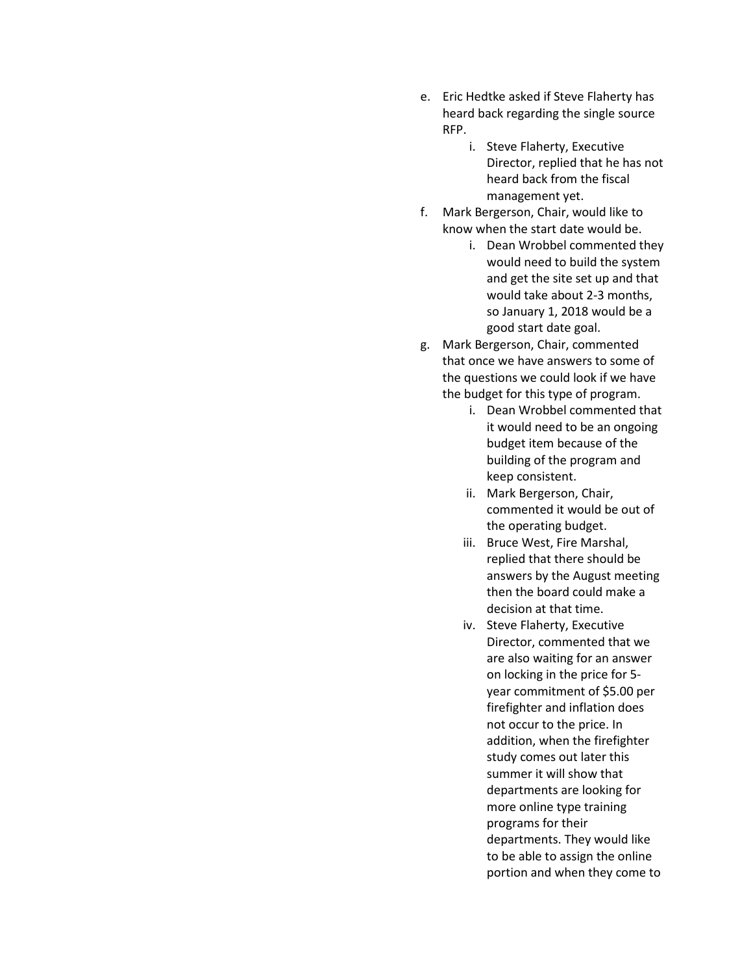- e. Eric Hedtke asked if Steve Flaherty has heard back regarding the single source RFP.
	- i. Steve Flaherty, Executive Director, replied that he has not heard back from the fiscal management yet.
- f. Mark Bergerson, Chair, would like to know when the start date would be.
	- i. Dean Wrobbel commented they would need to build the system and get the site set up and that would take about 2-3 months, so January 1, 2018 would be a good start date goal.
- g. Mark Bergerson, Chair, commented that once we have answers to some of the questions we could look if we have the budget for this type of program.
	- i. Dean Wrobbel commented that it would need to be an ongoing budget item because of the building of the program and keep consistent.
	- ii. Mark Bergerson, Chair, commented it would be out of the operating budget.
	- iii. Bruce West, Fire Marshal, replied that there should be answers by the August meeting then the board could make a decision at that time.
	- iv. Steve Flaherty, Executive Director, commented that we are also waiting for an answer on locking in the price for 5 year commitment of \$5.00 per firefighter and inflation does not occur to the price. In addition, when the firefighter study comes out later this summer it will show that departments are looking for more online type training programs for their departments. They would like to be able to assign the online portion and when they come to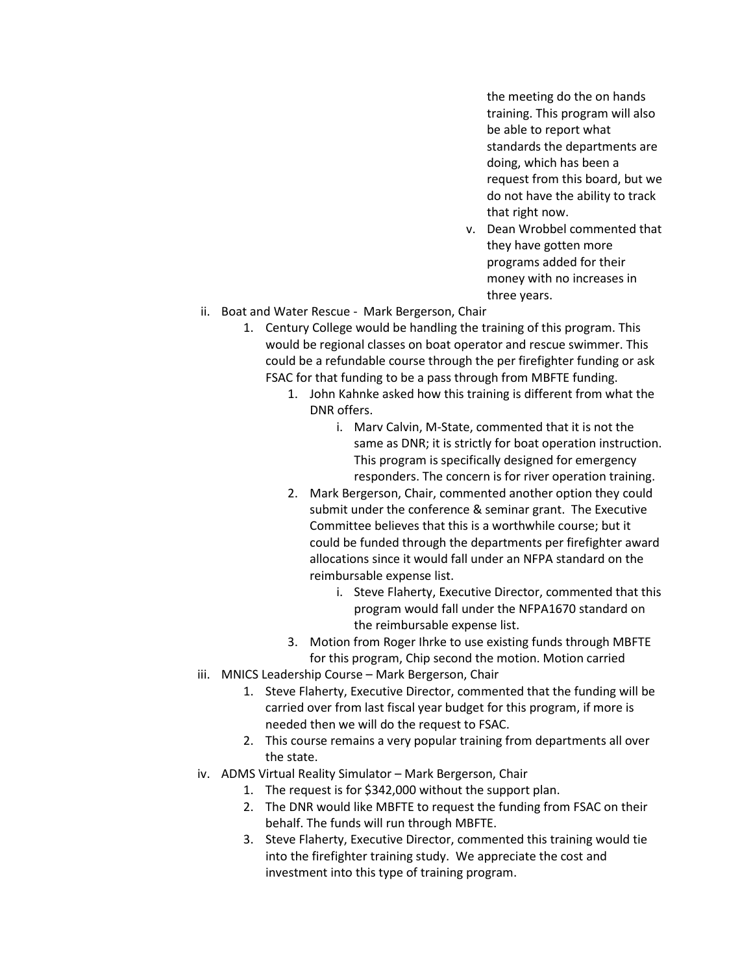the meeting do the on hands training. This program will also be able to report what standards the departments are doing, which has been a request from this board, but we do not have the ability to track that right now.

- v. Dean Wrobbel commented that they have gotten more programs added for their money with no increases in three years.
- ii. Boat and Water Rescue Mark Bergerson, Chair
	- 1. Century College would be handling the training of this program. This would be regional classes on boat operator and rescue swimmer. This could be a refundable course through the per firefighter funding or ask FSAC for that funding to be a pass through from MBFTE funding.
		- 1. John Kahnke asked how this training is different from what the DNR offers.
			- i. Marv Calvin, M-State, commented that it is not the same as DNR; it is strictly for boat operation instruction. This program is specifically designed for emergency responders. The concern is for river operation training.
		- 2. Mark Bergerson, Chair, commented another option they could submit under the conference & seminar grant. The Executive Committee believes that this is a worthwhile course; but it could be funded through the departments per firefighter award allocations since it would fall under an NFPA standard on the reimbursable expense list.
			- i. Steve Flaherty, Executive Director, commented that this program would fall under the NFPA1670 standard on the reimbursable expense list.
		- 3. Motion from Roger Ihrke to use existing funds through MBFTE for this program, Chip second the motion. Motion carried
- iii. MNICS Leadership Course Mark Bergerson, Chair
	- 1. Steve Flaherty, Executive Director, commented that the funding will be carried over from last fiscal year budget for this program, if more is needed then we will do the request to FSAC.
	- 2. This course remains a very popular training from departments all over the state.
- iv. ADMS Virtual Reality Simulator Mark Bergerson, Chair
	- 1. The request is for \$342,000 without the support plan.
	- 2. The DNR would like MBFTE to request the funding from FSAC on their behalf. The funds will run through MBFTE.
	- 3. Steve Flaherty, Executive Director, commented this training would tie into the firefighter training study. We appreciate the cost and investment into this type of training program.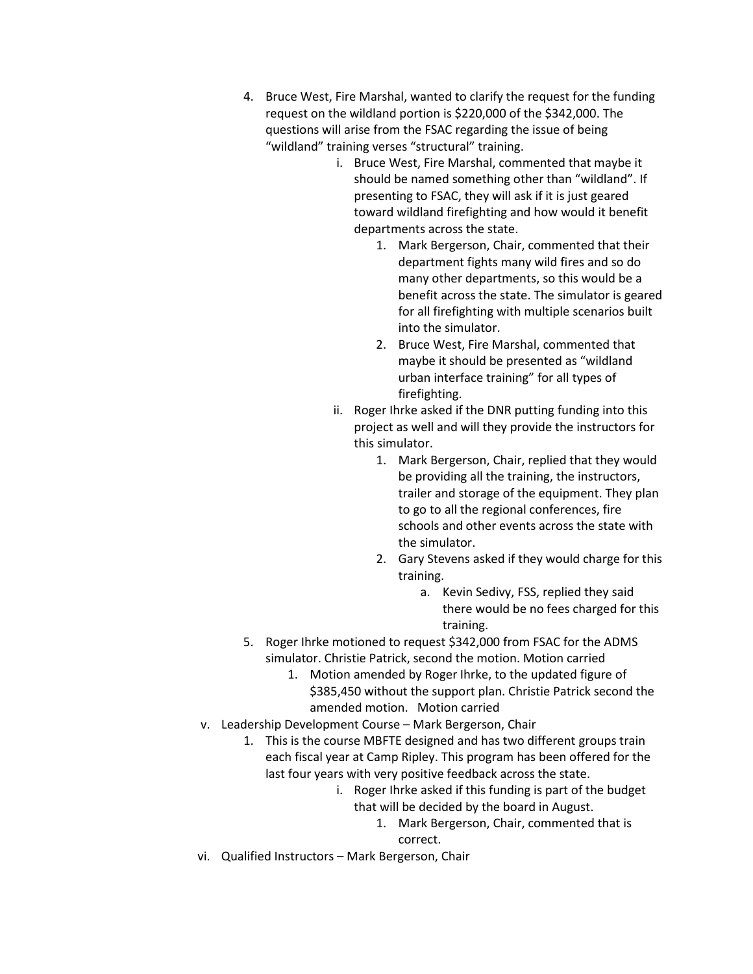- 4. Bruce West, Fire Marshal, wanted to clarify the request for the funding request on the wildland portion is \$220,000 of the \$342,000. The questions will arise from the FSAC regarding the issue of being "wildland" training verses "structural" training.
	- i. Bruce West, Fire Marshal, commented that maybe it should be named something other than "wildland". If presenting to FSAC, they will ask if it is just geared toward wildland firefighting and how would it benefit departments across the state.
		- 1. Mark Bergerson, Chair, commented that their department fights many wild fires and so do many other departments, so this would be a benefit across the state. The simulator is geared for all firefighting with multiple scenarios built into the simulator.
		- 2. Bruce West, Fire Marshal, commented that maybe it should be presented as "wildland urban interface training" for all types of firefighting.
	- ii. Roger Ihrke asked if the DNR putting funding into this project as well and will they provide the instructors for this simulator.
		- 1. Mark Bergerson, Chair, replied that they would be providing all the training, the instructors, trailer and storage of the equipment. They plan to go to all the regional conferences, fire schools and other events across the state with the simulator.
		- 2. Gary Stevens asked if they would charge for this training.
			- a. Kevin Sedivy, FSS, replied they said there would be no fees charged for this training.
- 5. Roger Ihrke motioned to request \$342,000 from FSAC for the ADMS simulator. Christie Patrick, second the motion. Motion carried
	- 1. Motion amended by Roger Ihrke, to the updated figure of \$385,450 without the support plan. Christie Patrick second the amended motion. Motion carried
- v. Leadership Development Course Mark Bergerson, Chair
	- 1. This is the course MBFTE designed and has two different groups train each fiscal year at Camp Ripley. This program has been offered for the last four years with very positive feedback across the state.
		- i. Roger Ihrke asked if this funding is part of the budget that will be decided by the board in August.
			- 1. Mark Bergerson, Chair, commented that is correct.
- vi. Qualified Instructors Mark Bergerson, Chair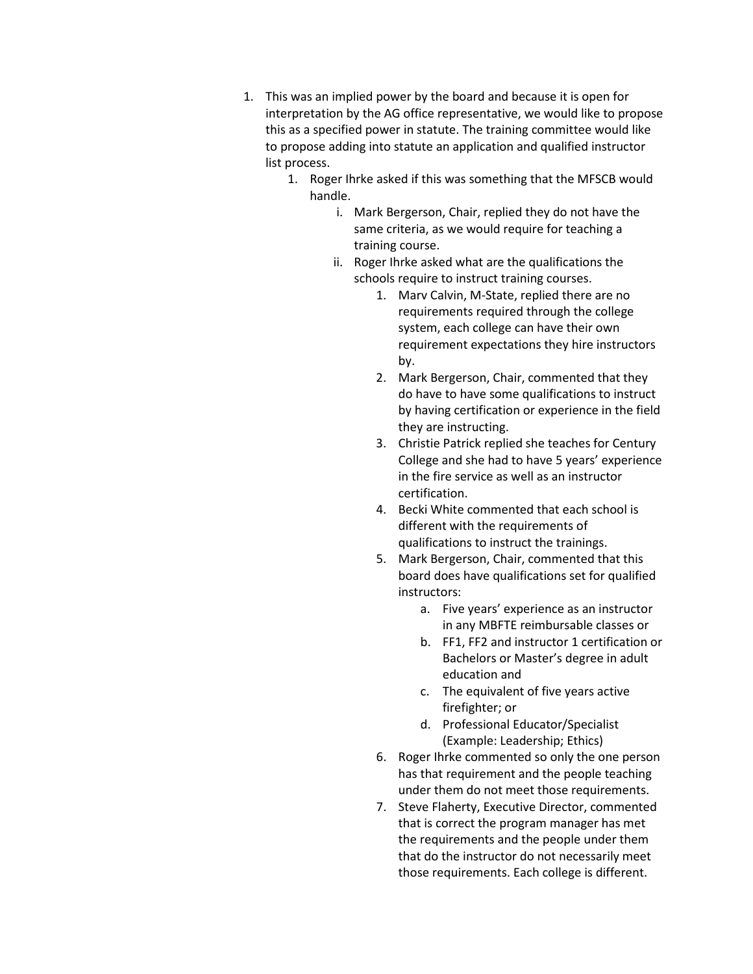- 1. This was an implied power by the board and because it is open for interpretation by the AG office representative, we would like to propose this as a specified power in statute. The training committee would like to propose adding into statute an application and qualified instructor list process.
	- 1. Roger Ihrke asked if this was something that the MFSCB would handle.
		- i. Mark Bergerson, Chair, replied they do not have the same criteria, as we would require for teaching a training course.
		- ii. Roger Ihrke asked what are the qualifications the schools require to instruct training courses.
			- 1. Marv Calvin, M-State, replied there are no requirements required through the college system, each college can have their own requirement expectations they hire instructors by.
			- 2. Mark Bergerson, Chair, commented that they do have to have some qualifications to instruct by having certification or experience in the field they are instructing.
			- 3. Christie Patrick replied she teaches for Century College and she had to have 5 years' experience in the fire service as well as an instructor certification.
			- 4. Becki White commented that each school is different with the requirements of qualifications to instruct the trainings.
			- 5. Mark Bergerson, Chair, commented that this board does have qualifications set for qualified instructors:
				- a. Five years' experience as an instructor in any MBFTE reimbursable classes or
				- b. FF1, FF2 and instructor 1 certification or Bachelors or Master's degree in adult education and
				- c. The equivalent of five years active firefighter; or
				- d. Professional Educator/Specialist (Example: Leadership; Ethics)
			- 6. Roger Ihrke commented so only the one person has that requirement and the people teaching under them do not meet those requirements.
			- 7. Steve Flaherty, Executive Director, commented that is correct the program manager has met the requirements and the people under them that do the instructor do not necessarily meet those requirements. Each college is different.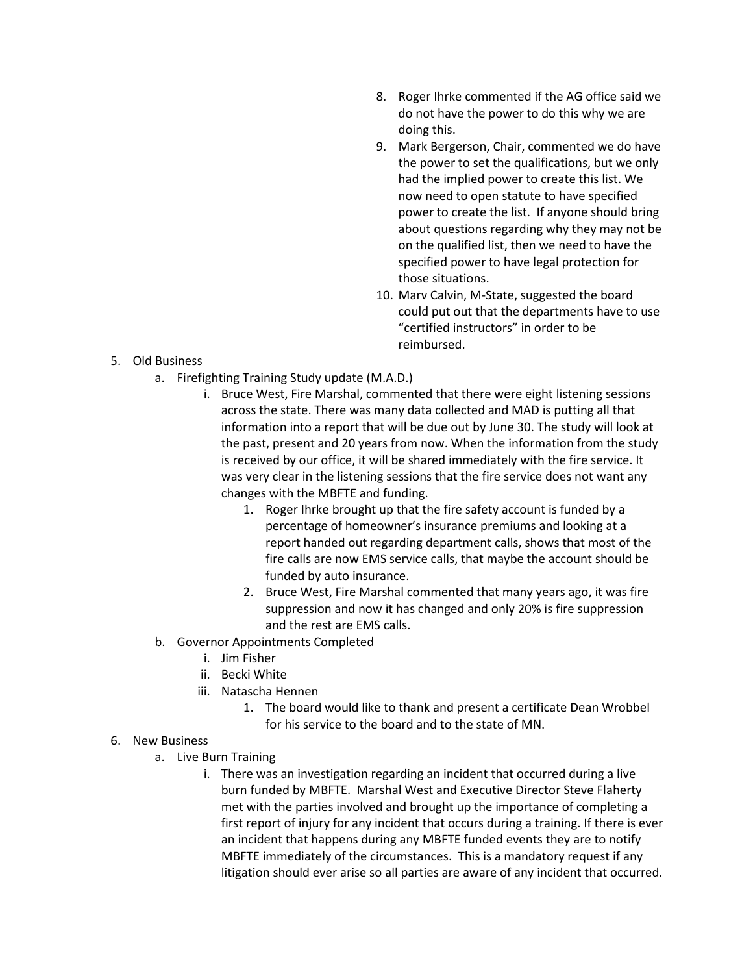- 8. Roger Ihrke commented if the AG office said we do not have the power to do this why we are doing this.
- 9. Mark Bergerson, Chair, commented we do have the power to set the qualifications, but we only had the implied power to create this list. We now need to open statute to have specified power to create the list. If anyone should bring about questions regarding why they may not be on the qualified list, then we need to have the specified power to have legal protection for those situations.
- 10. Marv Calvin, M-State, suggested the board could put out that the departments have to use "certified instructors" in order to be reimbursed.

- 5. Old Business
	- a. Firefighting Training Study update (M.A.D.)
		- i. Bruce West, Fire Marshal, commented that there were eight listening sessions across the state. There was many data collected and MAD is putting all that information into a report that will be due out by June 30. The study will look at the past, present and 20 years from now. When the information from the study is received by our office, it will be shared immediately with the fire service. It was very clear in the listening sessions that the fire service does not want any changes with the MBFTE and funding.
			- 1. Roger Ihrke brought up that the fire safety account is funded by a percentage of homeowner's insurance premiums and looking at a report handed out regarding department calls, shows that most of the fire calls are now EMS service calls, that maybe the account should be funded by auto insurance.
			- 2. Bruce West, Fire Marshal commented that many years ago, it was fire suppression and now it has changed and only 20% is fire suppression and the rest are EMS calls.
	- b. Governor Appointments Completed
		- i. Jim Fisher
		- ii. Becki White
		- iii. Natascha Hennen
			- 1. The board would like to thank and present a certificate Dean Wrobbel for his service to the board and to the state of MN.
- 6. New Business
	- a. Live Burn Training
		- i. There was an investigation regarding an incident that occurred during a live burn funded by MBFTE. Marshal West and Executive Director Steve Flaherty met with the parties involved and brought up the importance of completing a first report of injury for any incident that occurs during a training. If there is ever an incident that happens during any MBFTE funded events they are to notify MBFTE immediately of the circumstances. This is a mandatory request if any litigation should ever arise so all parties are aware of any incident that occurred.